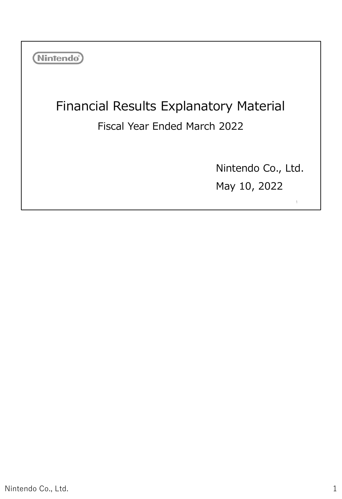| <b>Nintendo</b> <sup>®</sup>                                                  |                                    |
|-------------------------------------------------------------------------------|------------------------------------|
| <b>Financial Results Explanatory Material</b><br>Fiscal Year Ended March 2022 |                                    |
|                                                                               | Nintendo Co., Ltd.<br>May 10, 2022 |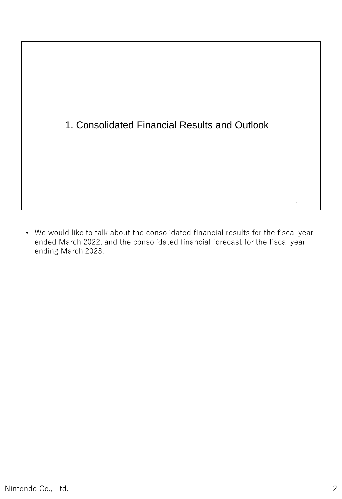# 1. Consolidated Financial Results and Outlook

• We would like to talk about the consolidated financial results for the fiscal year ended March 2022, and the consolidated financial forecast for the fiscal year ending March 2023.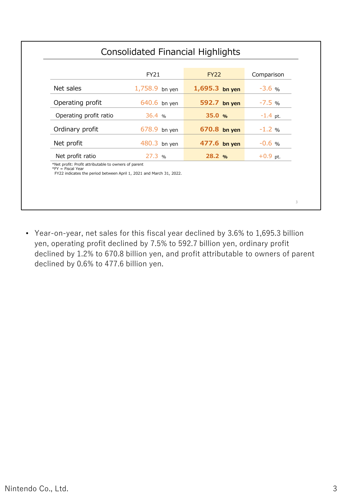|                                                                                                                                                     | <b>FY21</b>      | <b>FY22</b>      | Comparison |
|-----------------------------------------------------------------------------------------------------------------------------------------------------|------------------|------------------|------------|
| Net sales                                                                                                                                           | $1,758.9$ bn yen | $1,695.3$ bn yen | $-3.6%$    |
| Operating profit                                                                                                                                    | 640.6 bn yen     | 592.7 bn yen     | $-7.5%$    |
| Operating profit ratio                                                                                                                              | 36.4%            | 35.0%            | $-1.4$ pt. |
| Ordinary profit                                                                                                                                     | 678.9 bn yen     | 670.8 bn yen     | $-1.2 %$   |
| Net profit                                                                                                                                          | 480.3 bn yen     | 477.6 bn yen     | $-0.6$ %   |
| Net profit ratio                                                                                                                                    | 27.3 %           | 28.2 %           | $+0.9$ pt. |
| *Net profit: Profit attributable to owners of parent<br>$*$ FY = Fiscal Year<br>FY22 indicates the period between April 1, 2021 and March 31, 2022. |                  |                  |            |

• Year-on-year, net sales for this fiscal year declined by 3.6% to 1,695.3 billion yen, operating profit declined by 7.5% to 592.7 billion yen, ordinary profit declined by 1.2% to 670.8 billion yen, and profit attributable to owners of parent declined by 0.6% to 477.6 billion yen.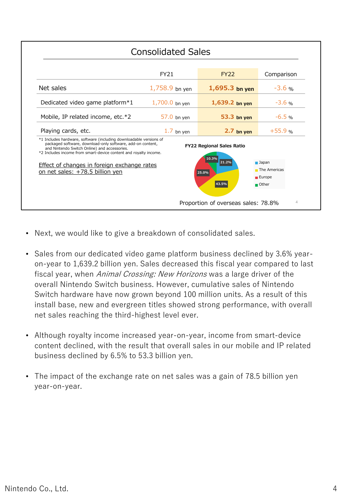| <b>Consolidated Sales</b>                                                                                                                                                                                                                                                                                                                                                                                                                                                                |                  |                                     |                |  |  |  |
|------------------------------------------------------------------------------------------------------------------------------------------------------------------------------------------------------------------------------------------------------------------------------------------------------------------------------------------------------------------------------------------------------------------------------------------------------------------------------------------|------------------|-------------------------------------|----------------|--|--|--|
|                                                                                                                                                                                                                                                                                                                                                                                                                                                                                          | <b>FY21</b>      | <b>FY22</b>                         | Comparison     |  |  |  |
| Net sales                                                                                                                                                                                                                                                                                                                                                                                                                                                                                | $1,758.9$ bn yen | $1,695.3$ bn yen                    | $-3.6%$        |  |  |  |
| Dedicated video game platform $*1$                                                                                                                                                                                                                                                                                                                                                                                                                                                       | $1,700.0$ bn yen | $1,639.2$ bn yen                    | $-3.6$ %       |  |  |  |
| Mobile, IP related income, etc.*2                                                                                                                                                                                                                                                                                                                                                                                                                                                        | 57.0 bn yen      | 53.3 bn yen                         | $-6.5$ %       |  |  |  |
| Playing cards, etc.                                                                                                                                                                                                                                                                                                                                                                                                                                                                      | $1.7$ bn yen     | $2.7$ bn yen                        | $+55.9$ %      |  |  |  |
| *1 Includes hardware, software (including downloadable versions of<br>packaged software, download-only software, add-on content,<br><b>FY22 Regional Sales Ratio</b><br>and Nintendo Switch Online) and accessories.<br>*2 Includes income from smart-device content and royalty income.<br>10.3%<br>21.2%<br>$\blacksquare$ Japan<br>Effect of changes in foreign exchange rates<br>The Americas<br>on net sales: +78.5 billion yen<br>25.0%<br>Europe<br>43.5%<br>$\blacksquare$ Other |                  |                                     |                |  |  |  |
|                                                                                                                                                                                                                                                                                                                                                                                                                                                                                          |                  | Proportion of overseas sales: 78.8% | $\overline{4}$ |  |  |  |

- Next, we would like to give a breakdown of consolidated sales.
- Sales from our dedicated video game platform business declined by 3.6% yearon-year to 1,639.2 billion yen. Sales decreased this fiscal year compared to last fiscal year, when Animal Crossing: New Horizons was a large driver of the overall Nintendo Switch business. However, cumulative sales of Nintendo Switch hardware have now grown beyond 100 million units. As a result of this install base, new and evergreen titles showed strong performance, with overall net sales reaching the third-highest level ever.
- Although royalty income increased year-on-year, income from smart-device content declined, with the result that overall sales in our mobile and IP related business declined by 6.5% to 53.3 billion yen.
- The impact of the exchange rate on net sales was a gain of 78.5 billion yen year-on-year.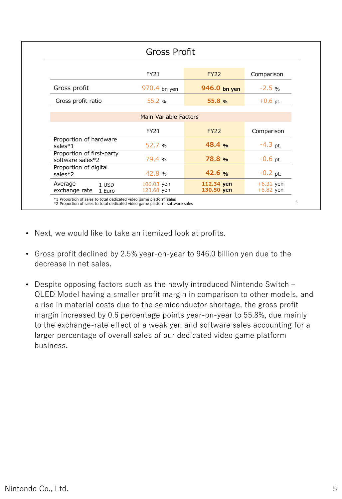| <b>Gross Profit</b>                           |                          |                          |                            |  |  |
|-----------------------------------------------|--------------------------|--------------------------|----------------------------|--|--|
|                                               |                          |                          |                            |  |  |
|                                               | FY21                     | <b>FY22</b>              | Comparison                 |  |  |
| Gross profit                                  | 970.4 bn yen             | 946.0 bn yen             | $-2.5%$                    |  |  |
| Gross profit ratio                            | 55.2 $%$                 | 55.8 %                   | $+0.6$ pt.                 |  |  |
|                                               | Main Variable Factors    |                          |                            |  |  |
|                                               |                          |                          |                            |  |  |
|                                               | <b>FY21</b>              | <b>FY22</b>              | Comparison                 |  |  |
| Proportion of hardware<br>sales $*1$          | 52.7 %                   | 48.4%                    | $-4.3$ pt.                 |  |  |
| Proportion of first-party<br>software sales*2 | 79.4 %                   | <b>78.8 %</b>            | $-0.6$ pt.                 |  |  |
| Proportion of digital<br>$sales*2$            | 42.8 %                   | 42.6%                    | $-0.2$ pt.                 |  |  |
| Average<br>1 USD<br>exchange rate<br>1 Euro   | 106.03 yen<br>123.68 yen | 112.34 yen<br>130.50 yen | $+6.31$ yen<br>$+6.82$ yen |  |  |

- Next, we would like to take an itemized look at profits.
- Gross profit declined by 2.5% year-on-year to 946.0 billion yen due to the decrease in net sales.
- Despite opposing factors such as the newly introduced Nintendo Switch OLED Model having a smaller profit margin in comparison to other models, and a rise in material costs due to the semiconductor shortage, the gross profit margin increased by 0.6 percentage points year-on-year to 55.8%, due mainly to the exchange-rate effect of a weak yen and software sales accounting for a larger percentage of overall sales of our dedicated video game platform business.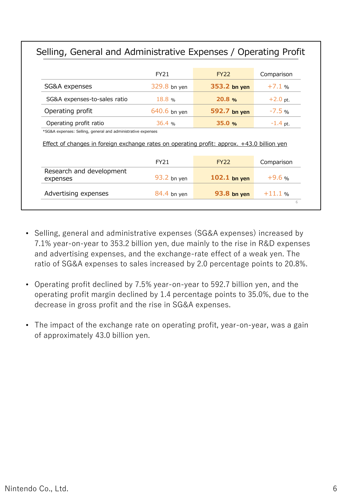# Selling, General and Administrative Expenses / Operating Profit

|                                                                                                                                                                                      | FY21         | <b>FY22</b>    | Comparison |
|--------------------------------------------------------------------------------------------------------------------------------------------------------------------------------------|--------------|----------------|------------|
| SG&A expenses                                                                                                                                                                        | 329.8 bn yen | 353.2 bn yen   | $+7.1%$    |
| SG&A expenses-to-sales ratio                                                                                                                                                         | 18.8%        | 20.8%          | $+2.0$ pt. |
| Operating profit                                                                                                                                                                     | 640.6 bn yen | 592.7 bn yen   | $-7.5%$    |
|                                                                                                                                                                                      |              | 35.0%          | $-1.4$ pt. |
|                                                                                                                                                                                      | 36.4~%       |                |            |
| Operating profit ratio<br>*SG&A expenses: Selling, general and administrative expenses<br>Effect of changes in foreign exchange rates on operating profit: approx. +43.0 billion yen |              |                |            |
|                                                                                                                                                                                      | FY21         | <b>FY22</b>    | Comparison |
| Research and development<br>expenses                                                                                                                                                 | 93.2 bn yen  | $102.1$ bn yen | $+9.6%$    |

- Selling, general and administrative expenses (SG&A expenses) increased by 7.1% year-on-year to 353.2 billion yen, due mainly to the rise in R&D expenses and advertising expenses, and the exchange-rate effect of a weak yen. The ratio of SG&A expenses to sales increased by 2.0 percentage points to 20.8%.
- Operating profit declined by 7.5% year-on-year to 592.7 billion yen, and the operating profit margin declined by 1.4 percentage points to 35.0%, due to the decrease in gross profit and the rise in SG&A expenses.
- The impact of the exchange rate on operating profit, year-on-year, was a gain of approximately 43.0 billion yen.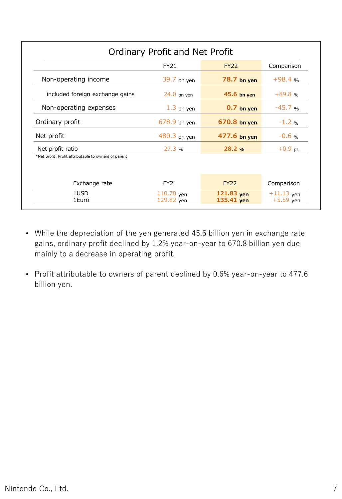| Ordinary Profit and Net Profit                       |                          |                            |                             |  |
|------------------------------------------------------|--------------------------|----------------------------|-----------------------------|--|
|                                                      | <b>FY21</b>              | <b>FY22</b>                | Comparison                  |  |
| Non-operating income                                 | 39.7 bn yen              | 78.7 bn yen                | $+98.4%$                    |  |
| included foreign exchange gains                      | $24.0$ bn yen            | 45.6 bn yen                | $+89.8$ %                   |  |
| Non-operating expenses                               | $1.3$ bn yen             | $0.7$ bn yen               | $-45.7%$                    |  |
| Ordinary profit                                      | $678.9$ bn yen           | 670.8 bn yen               | $-1.2$ %                    |  |
| Net profit                                           | $480.3$ bn yen           | 477.6 bn yen               | $-0.6$ %                    |  |
| Net profit ratio                                     | 27.3%                    | 28.2 %                     | $+0.9$ pt.                  |  |
| *Net profit: Profit attributable to owners of parent |                          |                            |                             |  |
| Exchange rate                                        | <b>FY21</b>              | <b>FY22</b>                | Comparison                  |  |
| 1USD<br>1Euro                                        | 110.70 yen<br>129.82 yen | $121.83$ yen<br>135.41 yen | $+11.13$ yen<br>$+5.59$ yen |  |

- While the depreciation of the yen generated 45.6 billion yen in exchange rate gains, ordinary profit declined by 1.2% year-on-year to 670.8 billion yen due mainly to a decrease in operating profit.
- Profit attributable to owners of parent declined by 0.6% year-on-year to 477.6 billion yen.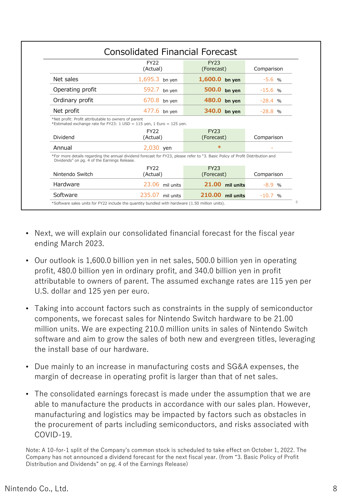|                                                                         | <b>FY22</b>                                                                                                                    | <b>FY23</b>               |            |
|-------------------------------------------------------------------------|--------------------------------------------------------------------------------------------------------------------------------|---------------------------|------------|
|                                                                         | (Actual)                                                                                                                       | (Forecast)                | Comparison |
| Net sales                                                               | $1,695.3$ bn yen                                                                                                               | 1,600.0 bn yen            | $-5.6%$    |
| Operating profit                                                        | 592.7 bn yen                                                                                                                   | 500.0 bn yen              | $-15.6$ %  |
| Ordinary profit                                                         | $670.8$ bn yen                                                                                                                 | 480.0 bn yen              | $-28.4$ %  |
| Net profit                                                              | 477.6 bn yen                                                                                                                   | 340.0 bn yen              | $-28.8$ %  |
|                                                                         |                                                                                                                                |                           |            |
|                                                                         | *Estimated exchange rate for FY23: 1 USD = 115 yen, 1 Euro = 125 yen.                                                          |                           |            |
| Dividend                                                                | FY <sub>22</sub><br>(Actual)                                                                                                   | <b>FY23</b><br>(Forecast) | Comparison |
| Annual                                                                  | 2,030 yen                                                                                                                      | $\ast$                    |            |
| Dividends" on pg. 4 of the Earnings Release.                            | *For more details regarding the annual dividend forecast for FY23, please refer to "3. Basic Policy of Profit Distribution and |                           |            |
| *Net profit: Profit attributable to owners of parent<br>Nintendo Switch | <b>FY22</b><br>(Actual)                                                                                                        | <b>FY23</b><br>(Forecast) | Comparison |
| Hardware                                                                | 23.06 mil units                                                                                                                | 21.00<br>mil units        | $-8.9%$    |

- Next, we will explain our consolidated financial forecast for the fiscal year ending March 2023.
- Our outlook is 1,600.0 billion yen in net sales, 500.0 billion yen in operating profit, 480.0 billion yen in ordinary profit, and 340.0 billion yen in profit attributable to owners of parent. The assumed exchange rates are 115 yen per U.S. dollar and 125 yen per euro.
- Taking into account factors such as constraints in the supply of semiconductor components, we forecast sales for Nintendo Switch hardware to be 21.00 million units. We are expecting 210.0 million units in sales of Nintendo Switch software and aim to grow the sales of both new and evergreen titles, leveraging the install base of our hardware.
- Due mainly to an increase in manufacturing costs and SG&A expenses, the margin of decrease in operating profit is larger than that of net sales.
- The consolidated earnings forecast is made under the assumption that we are able to manufacture the products in accordance with our sales plan. However, manufacturing and logistics may be impacted by factors such as obstacles in the procurement of parts including semiconductors, and risks associated with COVID-19.

Note: A 10-for-1 split of the Company's common stock is scheduled to take effect on October 1, 2022. The Company has not announced a dividend forecast for the next fiscal year. (from "3. Basic Policy of Profit Distribution and Dividends" on pg. 4 of the Earnings Release)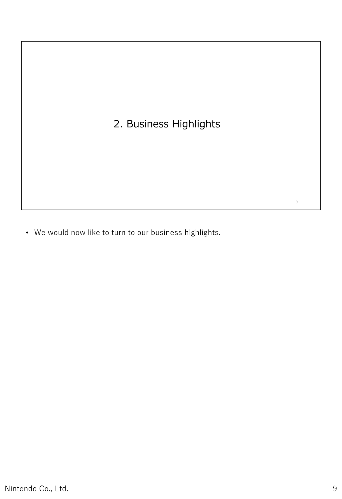## 2. Business Highlights

• We would now like to turn to our business highlights.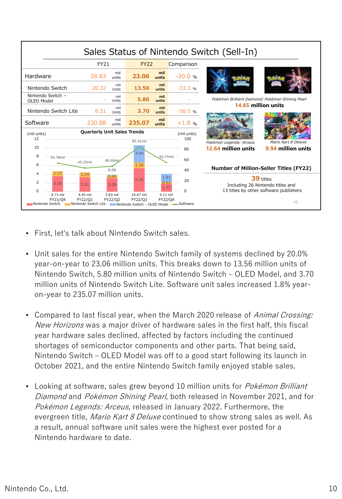

- First, let's talk about Nintendo Switch sales.
- Unit sales for the entire Nintendo Switch family of systems declined by 20.0% year-on-year to 23.06 million units. This breaks down to 13.56 million units of Nintendo Switch, 5.80 million units of Nintendo Switch – OLED Model, and 3.70 million units of Nintendo Switch Lite. Software unit sales increased 1.8% yearon-year to 235.07 million units.
- Compared to last fiscal year, when the March 2020 release of Animal Crossing: New Horizons was a major driver of hardware sales in the first half, this fiscal year hardware sales declined, affected by factors including the continued shortages of semiconductor components and other parts. That being said, Nintendo Switch – OLED Model was off to a good start following its launch in October 2021, and the entire Nintendo Switch family enjoyed stable sales.
- Looking at software, sales grew beyond 10 million units for *Pokémon Brilliant* Diamond and Pokémon Shining Pearl, both released in November 2021, and for Pokémon Legends: Arceus, released in January 2022. Furthermore, the evergreen title, *Mario Kart 8 Deluxe* continued to show strong sales as well. As a result, annual software unit sales were the highest ever posted for a Nintendo hardware to date.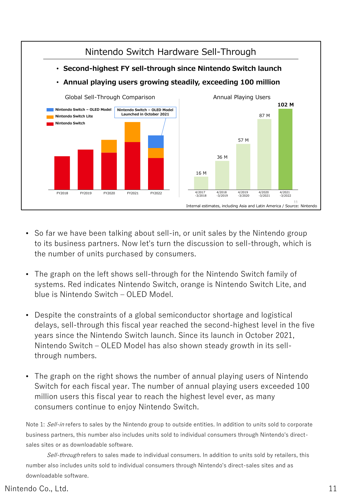

- So far we have been talking about sell-in, or unit sales by the Nintendo group to its business partners. Now let's turn the discussion to sell-through, which is the number of units purchased by consumers.
- The graph on the left shows sell-through for the Nintendo Switch family of systems. Red indicates Nintendo Switch, orange is Nintendo Switch Lite, and blue is Nintendo Switch – OLED Model.
- Despite the constraints of a global semiconductor shortage and logistical delays, sell-through this fiscal year reached the second-highest level in the five years since the Nintendo Switch launch. Since its launch in October 2021, Nintendo Switch – OLED Model has also shown steady growth in its sellthrough numbers.
- The graph on the right shows the number of annual playing users of Nintendo Switch for each fiscal year. The number of annual playing users exceeded 100 million users this fiscal year to reach the highest level ever, as many consumers continue to enjoy Nintendo Switch.

Note 1: Sell-in refers to sales by the Nintendo group to outside entities. In addition to units sold to corporate business partners, this number also includes units sold to individual consumers through Nintendo's directsales sites or as downloadable software.

Sell-through refers to sales made to individual consumers. In addition to units sold by retailers, this number also includes units sold to individual consumers through Nintendo's direct-sales sites and as downloadable software.

#### Nintendo Co., Ltd. 11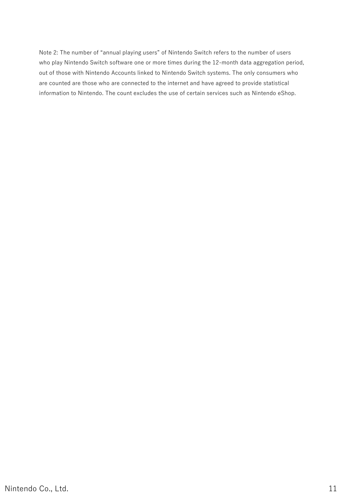Note 2: The number of "annual playing users" of Nintendo Switch refers to the number of users who play Nintendo Switch software one or more times during the 12-month data aggregation period, out of those with Nintendo Accounts linked to Nintendo Switch systems. The only consumers who are counted are those who are connected to the internet and have agreed to provide statistical information to Nintendo. The count excludes the use of certain services such as Nintendo eShop.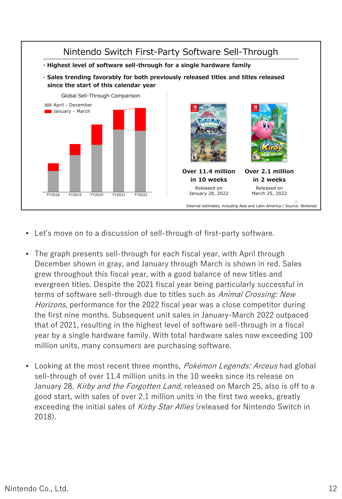

- Let's move on to a discussion of sell-through of first-party software.
- The graph presents sell-through for each fiscal year, with April through December shown in gray, and January through March is shown in red. Sales grew throughout this fiscal year, with a good balance of new titles and evergreen titles. Despite the 2021 fiscal year being particularly successful in terms of software sell-through due to titles such as Animal Crossing: New Horizons, performance for the 2022 fiscal year was a close competitor during the first nine months. Subsequent unit sales in January-March 2022 outpaced that of 2021, resulting in the highest level of software sell-through in a fiscal year by a single hardware family. With total hardware sales now exceeding 100 million units, many consumers are purchasing software.
- Looking at the most recent three months, *Pokémon Legends: Arceus* had global sell-through of over 11.4 million units in the 10 weeks since its release on January 28. Kirby and the Forgotten Land, released on March 25, also is off to a good start, with sales of over 2.1 million units in the first two weeks, greatly exceeding the initial sales of Kirby Star Allies (released for Nintendo Switch in 2018).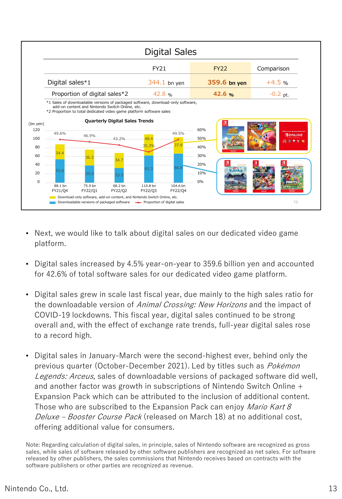

- Next, we would like to talk about digital sales on our dedicated video game platform.
- Digital sales increased by 4.5% year-on-year to 359.6 billion yen and accounted for 42.6% of total software sales for our dedicated video game platform.
- Digital sales grew in scale last fiscal year, due mainly to the high sales ratio for the downloadable version of *Animal Crossing: New Horizons* and the impact of COVID-19 lockdowns. This fiscal year, digital sales continued to be strong overall and, with the effect of exchange rate trends, full-year digital sales rose to a record high.
- Digital sales in January-March were the second-highest ever, behind only the previous quarter (October-December 2021). Led by titles such as Pokémon Legends: Arceus, sales of downloadable versions of packaged software did well, and another factor was growth in subscriptions of Nintendo Switch Online + Expansion Pack which can be attributed to the inclusion of additional content. Those who are subscribed to the Expansion Pack can enjoy *Mario Kart 8* Deluxe – Booster Course Pack (released on March 18) at no additional cost, offering additional value for consumers.

Note: Regarding calculation of digital sales, in principle, sales of Nintendo software are recognized as gross sales, while sales of software released by other software publishers are recognized as net sales. For software released by other publishers, the sales commissions that Nintendo receives based on contracts with the software publishers or other parties are recognized as revenue.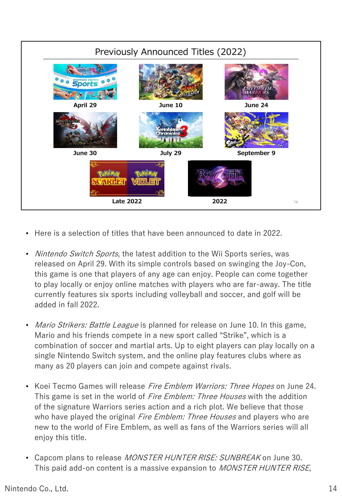

- Here is a selection of titles that have been announced to date in 2022.
- Nintendo Switch Sports, the latest addition to the Wii Sports series, was released on April 29. With its simple controls based on swinging the Joy-Con, this game is one that players of any age can enjoy. People can come together to play locally or enjoy online matches with players who are far-away. The title currently features six sports including volleyball and soccer, and golf will be added in fall 2022.
- *Mario Strikers: Battle League* is planned for release on June 10. In this game, Mario and his friends compete in a new sport called "Strike", which is a combination of soccer and martial arts. Up to eight players can play locally on a single Nintendo Switch system, and the online play features clubs where as many as 20 players can join and compete against rivals.
- Koei Tecmo Games will release *Fire Emblem Warriors: Three Hopes* on June 24. This game is set in the world of *Fire Emblem: Three Houses* with the addition of the signature Warriors series action and a rich plot. We believe that those who have played the original *Fire Emblem: Three Houses* and players who are new to the world of Fire Emblem, as well as fans of the Warriors series will all enjoy this title.
- Capcom plans to release MONSTER HUNTER RISE: SUNBREAK on June 30. This paid add-on content is a massive expansion to *MONSTER HUNTER RISE*,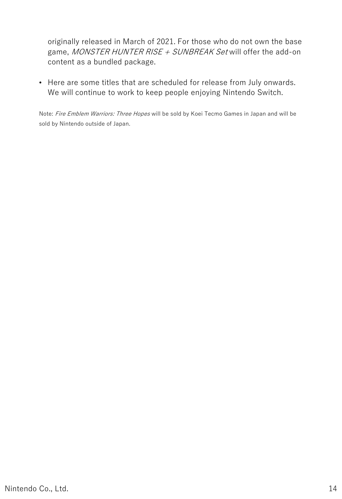originally released in March of 2021. For those who do not own the base game, MONSTER HUNTER RISE + SUNBREAK Set will offer the add-on content as a bundled package.

• Here are some titles that are scheduled for release from July onwards. We will continue to work to keep people enjoying Nintendo Switch.

Note: Fire Emblem Warriors: Three Hopes will be sold by Koei Tecmo Games in Japan and will be sold by Nintendo outside of Japan.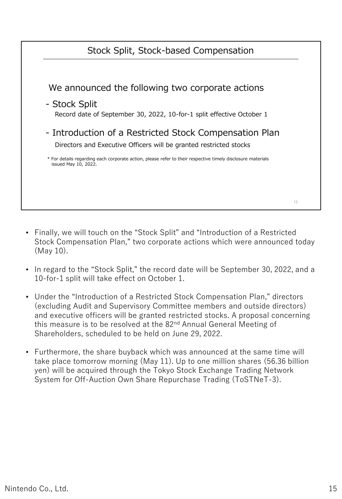| Stock Split, Stock-based Compensation                                                                                               |    |
|-------------------------------------------------------------------------------------------------------------------------------------|----|
|                                                                                                                                     |    |
| We announced the following two corporate actions                                                                                    |    |
| - Stock Split<br>Record date of September 30, 2022, 10-for-1 split effective October 1                                              |    |
| - Introduction of a Restricted Stock Compensation Plan<br>Directors and Executive Officers will be granted restricted stocks        |    |
| * For details regarding each corporate action, please refer to their respective timely disclosure materials<br>issued May 10, 2022. |    |
|                                                                                                                                     |    |
|                                                                                                                                     | 15 |

- Finally, we will touch on the "Stock Split" and "Introduction of a Restricted Stock Compensation Plan," two corporate actions which were announced today (May 10).
- In regard to the "Stock Split," the record date will be September 30, 2022, and a 10-for-1 split will take effect on October 1.
- Under the "Introduction of a Restricted Stock Compensation Plan," directors (excluding Audit and Supervisory Committee members and outside directors) and executive officers will be granted restricted stocks. A proposal concerning this measure is to be resolved at the 82<sup>nd</sup> Annual General Meeting of Shareholders, scheduled to be held on June 29, 2022.
- Furthermore, the share buyback which was announced at the same time will take place tomorrow morning (May 11). Up to one million shares (56.36 billion yen) will be acquired through the Tokyo Stock Exchange Trading Network System for Off-Auction Own Share Repurchase Trading (ToSTNeT-3).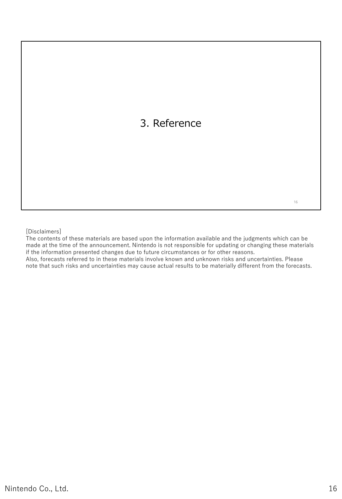## 3. Reference

[Disclaimers]

The contents of these materials are based upon the information available and the judgments which can be made at the time of the announcement. Nintendo is not responsible for updating or changing these materials if the information presented changes due to future circumstances or for other reasons. Also, forecasts referred to in these materials involve known and unknown risks and uncertainties. Please

note that such risks and uncertainties may cause actual results to be materially different from the forecasts.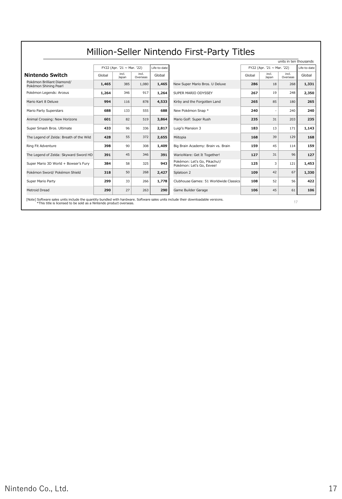|                                                                                                                                                                                                         |        |                                 |                   |              |                                                           |        |                            | units in ten thousands |              |
|---------------------------------------------------------------------------------------------------------------------------------------------------------------------------------------------------------|--------|---------------------------------|-------------------|--------------|-----------------------------------------------------------|--------|----------------------------|------------------------|--------------|
|                                                                                                                                                                                                         |        | FY22 (Apr. '21 $\sim$ Mar. '22) |                   | Life-to-date |                                                           |        | FY22 (Apr. '21 ~ Mar. '22) |                        | Life-to-date |
| Nintendo Switch                                                                                                                                                                                         | Global | incl.<br>Japan                  | incl.<br>Overseas | Global       |                                                           | Global | incl.<br>Japan             | incl.<br>Overseas      | Global       |
| Pokémon Brilliant Diamond/<br>Pokémon Shining Pearl                                                                                                                                                     | 1,465  | 385                             | 1,080             | 1,465        | New Super Mario Bros. U Deluxe                            | 286    | 18                         | 268                    | 1,331        |
| Pokémon Legends: Arceus                                                                                                                                                                                 | 1,264  | 346                             | 917               | 1,264        | SUPER MARIO ODYSSEY                                       | 267    | 19                         | 248                    | 2,350        |
| Mario Kart 8 Deluxe                                                                                                                                                                                     | 994    | 116                             | 878               | 4,533        | Kirby and the Forgotten Land                              | 265    | 85                         | 180                    | 265          |
| Mario Party Superstars                                                                                                                                                                                  | 688    | 133                             | 555               | 688          | New Pokémon Snap *                                        | 240    |                            | 240                    | 240          |
| Animal Crossing: New Horizons                                                                                                                                                                           | 601    | 82                              | 519               | 3,864        | Mario Golf: Super Rush                                    | 235    | 31                         | 203                    | 235          |
| Super Smash Bros. Ultimate                                                                                                                                                                              | 433    | 96                              | 336               | 2,817        | Luigi's Mansion 3                                         | 183    | 13                         | 171                    | 1,143        |
| The Legend of Zelda: Breath of the Wild                                                                                                                                                                 | 428    | 55                              | 372               | 2,655        | Miitopia                                                  | 168    | 39                         | 129                    | 168          |
| Ring Fit Adventure                                                                                                                                                                                      | 398    | 90                              | 308               | 1.409        | Big Brain Academy: Brain vs. Brain                        | 159    | 45                         | 114                    | 159          |
| The Legend of Zelda: Skyward Sword HD                                                                                                                                                                   | 391    | 45                              | 346               | 391          | WarioWare: Get It Together!                               | 127    | 31                         | 96                     | 127          |
| Super Mario 3D World + Bowser's Fury                                                                                                                                                                    | 384    | 58                              | 325               | 943          | Pokémon: Let's Go, Pikachu!/<br>Pokémon: Let's Go, Eevee! | 125    | 3                          | 121                    | 1,453        |
| Pokémon Sword/ Pokémon Shield                                                                                                                                                                           | 318    | 50                              | 268               | 2,427        | Splatoon 2                                                | 109    | 42                         | 67                     | 1,330        |
| Super Mario Party                                                                                                                                                                                       | 299    | 33                              | 266               | 1,778        | Clubhouse Games: 51 Worldwide Classics                    | 108    | 52                         | 56                     | 422          |
| Metroid Dread                                                                                                                                                                                           | 290    | 27                              | 263               | 290          | Game Builder Garage                                       | 106    | 45                         | 61                     | 106          |
| [Note] Software sales units include the quantity bundled with hardware. Software sales units include their downloadable versions.<br>*This title is licensed to be sold as a Nintendo product overseas. |        |                                 |                   |              |                                                           |        |                            | 17                     |              |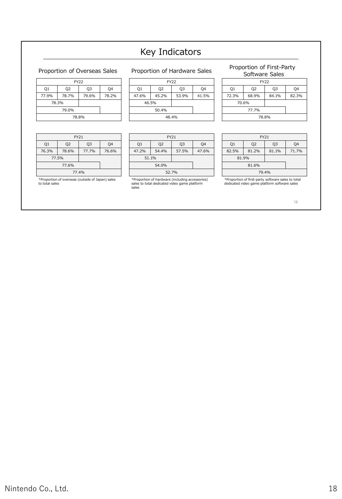### Key Indicators

#### Proportion of Overseas Sales

| <b>FY22</b> |                |       |       |  |  |
|-------------|----------------|-------|-------|--|--|
| Q1          | Q <sub>2</sub> | Q3    | Q4    |  |  |
| 77.9%       | 78.7%          | 79.6% | 78.2% |  |  |
| 78.3%       |                |       |       |  |  |
| 79.0%       |                |       |       |  |  |
| 78.8%       |                |       |       |  |  |

| FY21  |                |                |       |  |  |
|-------|----------------|----------------|-------|--|--|
| Q1    | Q <sub>2</sub> | Q <sub>3</sub> | Q4    |  |  |
| 76.3% | 78.6%          | 77.7%          | 76.6% |  |  |
| 77.5% |                |                |       |  |  |
|       |                |                |       |  |  |
| 77.4% |                |                |       |  |  |

\*Proportion of overseas (outside of Japan) sales to total sales

#### Proportion of Hardware Sales

| <b>FY22</b> |                      |  |    |  |
|-------------|----------------------|--|----|--|
| Q1          | Q3<br>Q <sub>2</sub> |  | Q4 |  |
| 47.6%       | 45.2%<br>53.9%       |  |    |  |
| 46.5%       |                      |  |    |  |
|             |                      |  |    |  |
|             | 48.4%                |  |    |  |

|       | <b>FY21</b>    |                |       |
|-------|----------------|----------------|-------|
| Q1    | Q <sub>2</sub> | Q <sub>3</sub> | Q4    |
| 47.2% | 54.4%          | 57.5%          | 47.6% |
|       | 51.1%          |                |       |
| 54.0% |                |                |       |
|       | 52.7%          |                |       |

\*Proportion of hardware (including accessories) sales to total dedicated video game platform sales

#### Proportion of First-Party Software Sales

| <b>FY22</b> |                |       |       |  |
|-------------|----------------|-------|-------|--|
| Q1          | Q <sub>2</sub> | Q3    | Q4    |  |
| 72.3%       | 68.9%          | 84.1% | 82.3% |  |
| 70.6%       |                |       |       |  |
| 77.7%       |                |       |       |  |
|             | 78.8%          |       |       |  |

|                | <b>FY21</b>                      |       |  |  |  |
|----------------|----------------------------------|-------|--|--|--|
| Q <sub>1</sub> | Q <sub>2</sub><br>Q <sub>3</sub> |       |  |  |  |
| 82.5%          | 81.2%                            | 71.7% |  |  |  |
| 81.9%          |                                  |       |  |  |  |
|                |                                  |       |  |  |  |
|                | 79.4%                            |       |  |  |  |

\*Proportion of first-party software sales to total dedicated video game platform software sales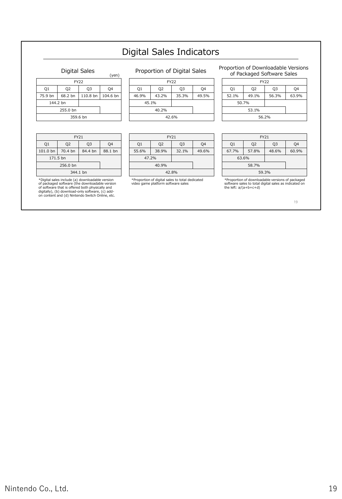### Digital Sales Indicators

#### Digital Sales

|          | Digital Jaics                    |             | (yen)    |  |  |
|----------|----------------------------------|-------------|----------|--|--|
|          |                                  | <b>FY22</b> |          |  |  |
| Q1       | Q <sub>2</sub><br>Q <sub>3</sub> |             |          |  |  |
| 75.9 bn  | 68.2 bn                          | 110.8 bn    | 104.6 bn |  |  |
|          | 144.2 bn                         |             |          |  |  |
| 255.0 bn |                                  |             |          |  |  |
|          | 359.6 bn                         |             |          |  |  |

| FY21           |                                  |  |  |  |
|----------------|----------------------------------|--|--|--|
| Q <sub>1</sub> | Q <sub>2</sub><br>Q <sub>3</sub> |  |  |  |
| 101.0 bn       | 84.4 bn<br>70.4 bn               |  |  |  |
| 171.5 bn       |                                  |  |  |  |
|                |                                  |  |  |  |
|                | 344.1 bn                         |  |  |  |

\*Digital sales include (a) downloadable version<br>of packaged software (the downloadable version<br>of software that is offered both physically and<br>digitally), (b) download-only software, (c) add-<br>on content and (d) Nintendo Sw

#### Proportion of Digital Sales

| <b>FY22</b> |                |    |  |  |
|-------------|----------------|----|--|--|
| Q1          | Q <sub>2</sub> | Q3 |  |  |
| 46.9%       | 35.3%<br>43.2% |    |  |  |
| 45.1%       |                |    |  |  |
|             |                |    |  |  |
|             | 42.6%          |    |  |  |

|       | <b>FY21</b>    |                |       |
|-------|----------------|----------------|-------|
| O1    | Q <sub>2</sub> | Q <sub>3</sub> | Q4    |
| 55.6% | 38.9%          | 32.1%          | 49.6% |
| 47.2% |                |                |       |
| 40.9% |                |                |       |
|       | 42.8%          |                |       |

\*Proportion of digital sales to total dedicated video game platform software sales

Proportion of Downloadable Versions of Packaged Software Sales

|       |                | <b>FY22</b> |       |  |
|-------|----------------|-------------|-------|--|
| Q1    | Q <sub>2</sub> |             | O4    |  |
| 52.1% | 49.1%          | 56.3%       | 63.9% |  |
| 50.7% |                |             |       |  |
| 53.1% |                |             |       |  |
|       | 56.2%          |             |       |  |

|                | <b>FY21</b>                      |       |       |  |  |
|----------------|----------------------------------|-------|-------|--|--|
| Q <sub>1</sub> | Q <sub>2</sub><br>Q <sub>3</sub> |       |       |  |  |
| 67.7%          | 57.8%                            | 48.6% | 60.9% |  |  |
| 63.6%          |                                  |       |       |  |  |
|                |                                  |       |       |  |  |
|                | 59.3%                            |       |       |  |  |

\*Proportion of downloadable versions of packaged software sales to total digital sales as indicated on the left: a/(a+b+c+d)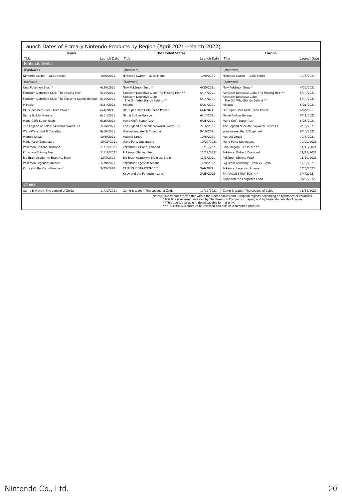| Launch Dates of Primary Nintendo Products by Region (April 2021~March 2022) |             |                                                          |             |                                                                                                                                                                                                                                                                                                          |             |
|-----------------------------------------------------------------------------|-------------|----------------------------------------------------------|-------------|----------------------------------------------------------------------------------------------------------------------------------------------------------------------------------------------------------------------------------------------------------------------------------------------------------|-------------|
| Japan                                                                       |             | <b>The United States</b>                                 |             | Europe                                                                                                                                                                                                                                                                                                   |             |
| Title                                                                       | Launch Date | Title                                                    | Launch Date | Title                                                                                                                                                                                                                                                                                                    | Launch Date |
| Nintendo Switch                                                             |             |                                                          |             |                                                                                                                                                                                                                                                                                                          |             |
| (Hardware)                                                                  |             | (Hardware)                                               |             | (Hardware)                                                                                                                                                                                                                                                                                               |             |
| Nintendo Switch - OLED Model                                                | 10/8/2021   | Nintendo Switch - OLED Model                             | 10/8/2021   | Nintendo Switch - OLED Model                                                                                                                                                                                                                                                                             | 10/8/2021   |
| (Software)                                                                  |             | (Software)                                               |             | (Software)                                                                                                                                                                                                                                                                                               |             |
| New Pokémon Snap *                                                          | 4/30/2021   | New Pokémon Snap *                                       | 4/30/2021   | New Pokémon Snap *                                                                                                                                                                                                                                                                                       | 4/30/2021   |
| Famicom Detective Club: The Missing Heir                                    | 5/14/2021   | Famicom Detective Club: The Missing Heir **              | 5/14/2021   | Famicom Detective Club: The Missing Heir **                                                                                                                                                                                                                                                              | 5/14/2021   |
| Famicom Detective Club: The Girl Who Stands Behind                          | 5/14/2021   | Famicom Detective Club:<br>The Girl Who Stands Behind ** | 5/14/2021   | Famicom Detective Club:<br>The Girl Who Stands Behind **                                                                                                                                                                                                                                                 | 5/14/2021   |
| Miitopia                                                                    | 5/21/2021   | Miitopia                                                 | 5/21/2021   | Miitopia                                                                                                                                                                                                                                                                                                 | 5/21/2021   |
| DC Super Hero Girls: Teen Power                                             | 6/4/2021    | DC Super Hero Girls: Teen Power                          | 6/4/2021    | DC Super Hero Girls: Teen Power                                                                                                                                                                                                                                                                          | 6/4/2021    |
| Game Builder Garage                                                         | 6/11/2021   | Game Builder Garage                                      | 6/11/2021   | Game Builder Garage                                                                                                                                                                                                                                                                                      | 6/11/2021   |
| Mario Golf: Super Rush                                                      | 6/25/2021   | Mario Golf: Super Rush                                   | 6/25/2021   | Mario Golf: Super Rush                                                                                                                                                                                                                                                                                   | 6/25/2021   |
| The Legend of Zelda: Skyward Sword HD                                       | 7/16/2021   | The Legend of Zelda: Skyward Sword HD                    | 7/16/2021   | The Legend of Zelda: Skyward Sword HD                                                                                                                                                                                                                                                                    | 7/16/2021   |
| WarioWare: Get It Together!                                                 | 9/10/2021   | WarioWare: Get It Together!                              | 9/10/2021   | WarioWare: Get It Together!                                                                                                                                                                                                                                                                              | 9/10/2021   |
| Metroid Dread                                                               | 10/8/2021   | Metroid Dread                                            | 10/8/2021   | Metroid Dread                                                                                                                                                                                                                                                                                            | 10/8/2021   |
| Mario Party Superstars                                                      | 10/29/2021  | Mario Party Superstars                                   | 10/29/2021  | Mario Party Superstars                                                                                                                                                                                                                                                                                   | 10/29/2021  |
| Pokémon Brilliant Diamond                                                   | 11/19/2021  | Pokémon Brilliant Diamond                                | 11/19/2021  | Shin Megami Tensei V ***                                                                                                                                                                                                                                                                                 | 11/12/2021  |
| Pokémon Shining Pearl                                                       | 11/19/2021  | Pokémon Shining Pearl                                    | 11/19/2021  | Pokémon Brilliant Diamond                                                                                                                                                                                                                                                                                | 11/19/2021  |
| Big Brain Academy: Brain vs. Brain                                          | 12/3/2021   | Big Brain Academy: Brain vs. Brain                       | 12/3/2021   | Pokémon Shining Pearl                                                                                                                                                                                                                                                                                    | 11/19/2021  |
| Pokémon Legends: Arceus                                                     | 1/28/2022   | Pokémon Legends: Arceus                                  | 1/28/2022   | Big Brain Academy: Brain vs. Brain                                                                                                                                                                                                                                                                       | 12/3/2021   |
| Kirby and the Forgotten Land                                                | 3/25/2022   | TRIANGLE STRATEGY ***                                    | 3/4/2022    | Pokémon Legends: Arceus                                                                                                                                                                                                                                                                                  | 1/28/2022   |
|                                                                             |             | Kirby and the Forgotten Land                             | 3/25/2022   | TRIANGLE STRATEGY ***                                                                                                                                                                                                                                                                                    | 3/4/2022    |
|                                                                             |             |                                                          |             | Kirby and the Forgotten Land                                                                                                                                                                                                                                                                             | 3/25/2022   |
| <b>Others</b>                                                               |             |                                                          |             |                                                                                                                                                                                                                                                                                                          |             |
| Game & Watch: The Legend of Zelda                                           | 11/12/2021  | Game & Watch: The Legend of Zelda                        | 11/12/2021  | Game & Watch: The Legend of Zelda                                                                                                                                                                                                                                                                        | 11/12/2021  |
|                                                                             |             | ** This title is available in downloadable format only.  |             | [Notes] Launch dates may differ within the United States and European regions depending on territories or countries.<br>*This title is released and sold by The Pokémon Company in Japan, and by Nintendo outside of Japan.<br>*** This title is licensed to be released and sold as a Nintendo product. |             |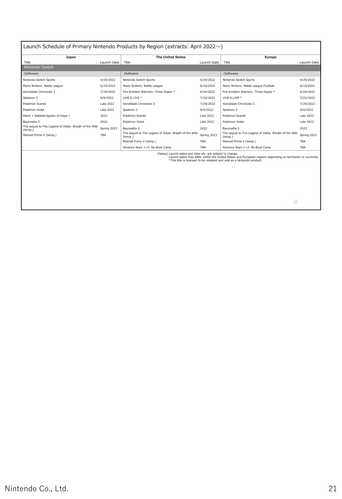| Japan                                                            |             | <b>The United States</b>                                         |             | Europe                                                                                                                                                                                 |             |
|------------------------------------------------------------------|-------------|------------------------------------------------------------------|-------------|----------------------------------------------------------------------------------------------------------------------------------------------------------------------------------------|-------------|
| Title                                                            | Launch Date | Title                                                            | Launch Date | Title                                                                                                                                                                                  | Launch Date |
| Nintendo Switch                                                  |             |                                                                  |             |                                                                                                                                                                                        |             |
| (Software)                                                       |             | (Software)                                                       |             | (Software)                                                                                                                                                                             |             |
| Nintendo Switch Sports                                           | 4/29/2022   | Nintendo Switch Sports                                           | 4/29/2022   | Nintendo Switch Sports                                                                                                                                                                 | 4/29/2022   |
| Mario Strikers: Battle League                                    | 6/10/2022   | Mario Strikers: Battle League                                    | 6/10/2022   | Mario Strikers: Battle League Football                                                                                                                                                 | 6/10/2022   |
| Xenoblade Chronicles 3                                           | 7/29/2022   | Fire Emblem Warriors: Three Hopes *                              | 6/24/2022   | Fire Emblem Warriors: Three Hopes *                                                                                                                                                    | 6/24/2022   |
| Splatoon 3                                                       | 9/9/2022    | LIVE A LIVE *                                                    | 7/22/2022   | LIVE A LIVE *                                                                                                                                                                          | 7/22/2022   |
| Pokémon Scarlet                                                  | Late 2022   | Xenoblade Chronicles 3                                           | 7/29/2022   | Xenoblade Chronicles 3                                                                                                                                                                 | 7/29/2022   |
| Pokémon Violet                                                   | Late 2022   | Splatoon 3                                                       | 9/9/2022    | Splatoon 3                                                                                                                                                                             | 9/9/2022    |
| Mario + Rabbids Sparks of Hope *                                 | 2022        | Pokémon Scarlet                                                  | Late 2022   | Pokémon Scarlet                                                                                                                                                                        | Late 2022   |
| Bavonetta 3                                                      | 2022        | Pokémon Violet                                                   | Late 2022   | Pokémon Violet                                                                                                                                                                         | Late 2022   |
| The sequel to The Legend of Zelda: Breath of the Wild<br>(temp.) | Spring 2023 | Bavonetta 3                                                      | 2022        | Bavonetta 3                                                                                                                                                                            | 2022        |
| Metroid Prime 4 (temp.)                                          | <b>TBA</b>  | The sequel to The Legend of Zelda: Breath of the Wild<br>(temp.) | Spring 2023 | The sequel to The Legend of Zelda: Breath of the Wild<br>(temp.)                                                                                                                       | Spring 2023 |
|                                                                  |             | Metroid Prime 4 (temp.)                                          | TBA         | Metroid Prime 4 (temp.)                                                                                                                                                                | TBA         |
|                                                                  |             | Advance Wars 1+2: Re-Boot Camp                                   | <b>TBA</b>  | Advance Wars 1+2: Re-Boot Camp                                                                                                                                                         | <b>TBA</b>  |
|                                                                  |             | [Notes] Launch dates and titles etc. are subject to change.      |             | Launch dates may differ within the United States and European regions depending on territories or countries.<br>*This title is licensed to be released and sold as a Nintendo product. |             |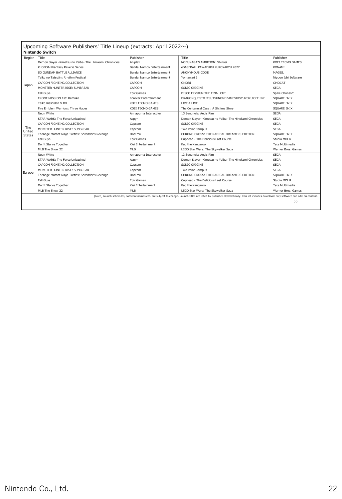| Region        | Title                                                   | Publisher                  | Title                                                   | Publisher            |
|---------------|---------------------------------------------------------|----------------------------|---------------------------------------------------------|----------------------|
|               | Demon Slayer -Kimetsu no Yaiba- The Hinokami Chronicles | Aniplex                    | NOBUNAGA'S AMBITION: Shinsei                            | KOEI TECMO GAMES     |
|               | KLONOA Phantasy Reverie Series                          | Bandai Namco Entertainment | eBASEBALL PAWAFURU PUROYAKYU 2022                       | <b>KONAMI</b>        |
|               | SD GUNDAM BATTLE ALLIANCE                               | Bandai Namco Entertainment | ANONYMOUS:CODE                                          | MAGES.               |
|               | Taiko no Tatsujin: Rhythm Festival                      | Bandai Namco Entertainment | Yomawari 3                                              | Nippon Ichi Software |
|               | CAPCOM FIGHTING COLLECTION                              | CAPCOM                     | OMORT                                                   | <b>OMOCAT</b>        |
| Japan         | MONSTER HUNTER RISE: SUNBREAK                           | CAPCOM                     | SONIC ORIGINS                                           | <b>SEGA</b>          |
|               | Fall Guys                                               | Epic Games                 | DISCO ELYSIUM THE FINAL CUT                             | Spike Chunsoft       |
|               | FRONT MISSION 1st: Remake                               | Forever Entertainment      | DRAGONQUESTX ITSUTSUNOMEZAMESHISYUZOKU OFFLINE          | SQUARE ENIX          |
|               | Taiko Risshiden V DX                                    | KOEI TECMO GAMES           | LIVE A LIVE                                             | SOUARE ENIX          |
|               | Fire Emblem Warriors: Three Hopes                       | KOEI TECMO GAMES           | The Centennial Case: A Shijima Story                    | SQUARE ENIX          |
|               | Neon White                                              | Annapurna Interactive      | 13 Sentinels: Aegis Rim                                 | <b>SEGA</b>          |
|               | STAR WARS: The Force Unleashed                          | Aspyr                      | Demon Slayer -Kimetsu no Yaiba- The Hinokami Chronicles | <b>SEGA</b>          |
|               | CAPCOM FIGHTING COLLECTION                              | Capcom                     | SONIC ORIGINS                                           | <b>SEGA</b>          |
| The<br>United | MONSTER HUNTER RISE: SUNBREAK                           | Capcom                     | Two Point Campus                                        | <b>SEGA</b>          |
| <b>States</b> | Teenage Mutant Ninja Turtles: Shredder's Revenge        | DotFmu                     | CHRONO CROSS: THE RADICAL DREAMERS EDITION              | SQUARE ENIX          |
|               | Fall Guys                                               | Epic Games                 | Cuphead - The Delicious Last Course                     | Studio MDHR          |
|               | Don't Starve Together                                   | Klei Entertainment         | Kao the Kangaroo                                        | Tate Multimedia      |
|               | MI B The Show 22                                        | MI B                       | LEGO Star Wars: The Skywalker Saga                      | Warner Bros. Games   |
|               | Neon White                                              | Annapurna Interactive      | 13 Sentinels: Aegis Rim                                 | <b>SEGA</b>          |
|               | STAR WARS: The Force Unleashed                          | Aspyr                      | Demon Slayer -Kimetsu no Yaiba- The Hinokami Chronicles | <b>SEGA</b>          |
|               | CAPCOM FIGHTING COLLECTION                              | Capcom                     | SONIC ORIGINS                                           | <b>SEGA</b>          |
|               | MONSTER HUNTER RISE: SUNBREAK                           | Capcom                     | Two Point Campus                                        | <b>SEGA</b>          |
| Europe        | Teenage Mutant Ninja Turtles: Shredder's Revenge        | DotEmu                     | CHRONO CROSS: THE RADICAL DREAMERS EDITION              | SOUARE ENIX          |
|               | Fall Guys                                               | Epic Games                 | Cuphead - The Delicious Last Course                     | Studio MDHR          |
|               | Don't Starve Together                                   | Klei Entertainment         | Kao the Kangaroo                                        | Tate Multimedia      |
|               | MLB The Show 22                                         | MI <sub>B</sub>            | LEGO Star Wars: The Skywalker Saga                      | Warner Bros, Games   |